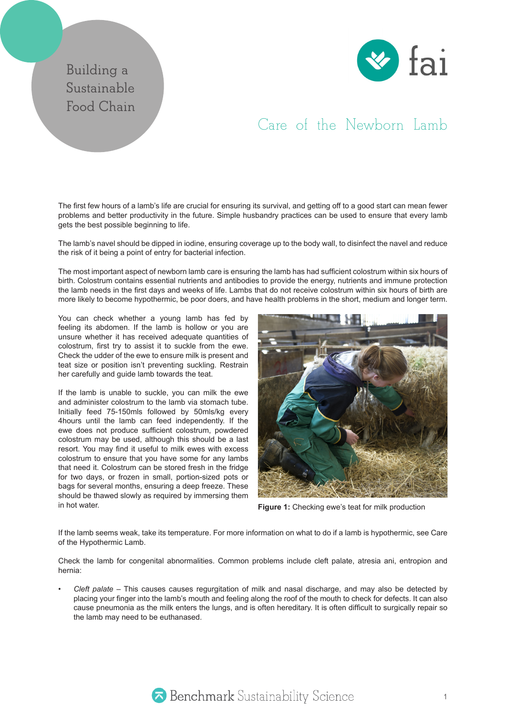## **Building a Sustainable Food Chain**



## Care of the Newborn Lamb

The first few hours of a lamb's life are crucial for ensuring its survival, and getting off to a good start can mean fewer problems and better productivity in the future. Simple husbandry practices can be used to ensure that every lamb gets the best possible beginning to life.

The lamb's navel should be dipped in iodine, ensuring coverage up to the body wall, to disinfect the navel and reduce the risk of it being a point of entry for bacterial infection.

The most important aspect of newborn lamb care is ensuring the lamb has had sufficient colostrum within six hours of birth. Colostrum contains essential nutrients and antibodies to provide the energy, nutrients and immune protection the lamb needs in the first days and weeks of life. Lambs that do not receive colostrum within six hours of birth are more likely to become hypothermic, be poor doers, and have health problems in the short, medium and longer term.

You can check whether a young lamb has fed by feeling its abdomen. If the lamb is hollow or you are unsure whether it has received adequate quantities of colostrum, first try to assist it to suckle from the ewe. Check the udder of the ewe to ensure milk is present and teat size or position isn't preventing suckling. Restrain her carefully and guide lamb towards the teat.

If the lamb is unable to suckle, you can milk the ewe and administer colostrum to the lamb via stomach tube. Initially feed 75-150mls followed by 50mls/kg every 4hours until the lamb can feed independently. If the ewe does not produce sufficient colostrum, powdered colostrum may be used, although this should be a last resort. You may find it useful to milk ewes with excess colostrum to ensure that you have some for any lambs that need it. Colostrum can be stored fresh in the fridge for two days, or frozen in small, portion-sized pots or bags for several months, ensuring a deep freeze. These should be thawed slowly as required by immersing them in hot water.



**Figure 1:** Checking ewe's teat for milk production

If the lamb seems weak, take its temperature. For more information on what to do if a lamb is hypothermic, see Care of the Hypothermic Lamb.

Check the lamb for congenital abnormalities. Common problems include cleft palate, atresia ani, entropion and hernia:

*Cleft palate* – This causes causes regurgitation of milk and nasal discharge, and may also be detected by placing your finger into the lamb's mouth and feeling along the roof of the mouth to check for defects. It can also cause pneumonia as the milk enters the lungs, and is often hereditary. It is often difficult to surgically repair so the lamb may need to be euthanased.